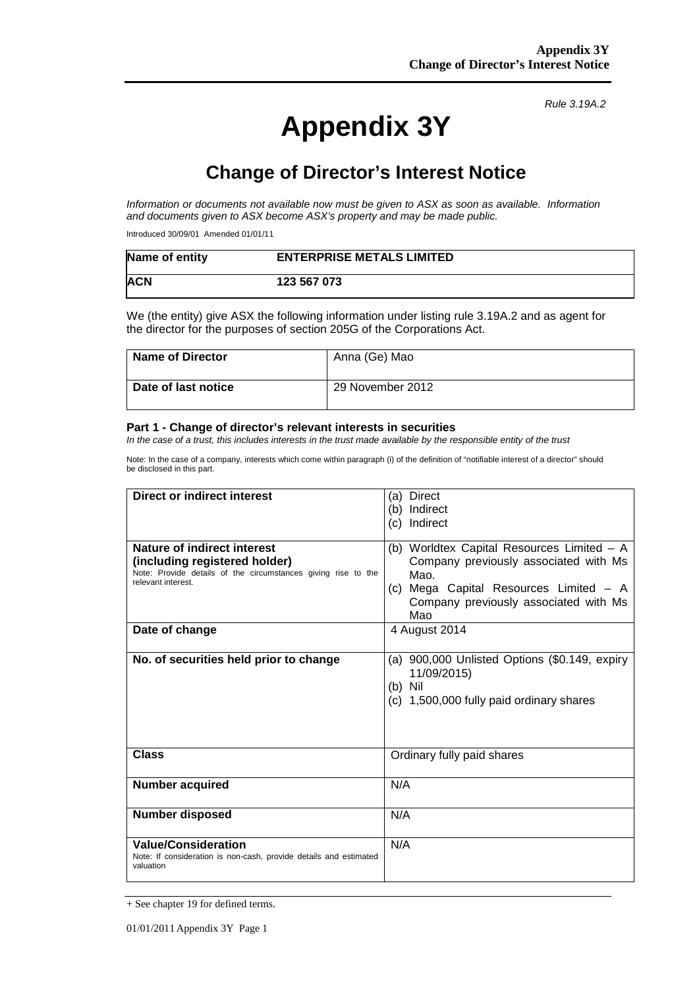# **Appendix 3Y**

*Rule 3.19A.2*

# **Change of Director's Interest Notice**

*Information or documents not available now must be given to ASX as soon as available. Information and documents given to ASX become ASX's property and may be made public.*

Introduced 30/09/01 Amended 01/01/11

| Name of entity | <b>ENTERPRISE METALS LIMITED</b> |
|----------------|----------------------------------|
| <b>ACN</b>     | 123 567 073                      |

We (the entity) give ASX the following information under listing rule 3.19A.2 and as agent for the director for the purposes of section 205G of the Corporations Act.

| <b>Name of Director</b> | Anna (Ge) Mao    |
|-------------------------|------------------|
| Date of last notice     | 29 November 2012 |

#### **Part 1 - Change of director's relevant interests in securities**

*In the case of a trust, this includes interests in the trust made available by the responsible entity of the trust*

Note: In the case of a company, interests which come within paragraph (i) of the definition of "notifiable interest of a director" should be disclosed in this part.

| <b>Direct or indirect interest</b>                                                  | <b>Direct</b><br>(a)                          |  |
|-------------------------------------------------------------------------------------|-----------------------------------------------|--|
|                                                                                     | Indirect<br>(b)                               |  |
|                                                                                     | Indirect<br>(c) =                             |  |
|                                                                                     |                                               |  |
| <b>Nature of indirect interest</b>                                                  | (b) Worldtex Capital Resources Limited - A    |  |
| (including registered holder)                                                       | Company previously associated with Ms         |  |
| Note: Provide details of the circumstances giving rise to the<br>relevant interest. | Mao.                                          |  |
|                                                                                     | (c) Mega Capital Resources Limited - A        |  |
|                                                                                     | Company previously associated with Ms         |  |
|                                                                                     | Mao                                           |  |
| Date of change                                                                      | 4 August 2014                                 |  |
|                                                                                     |                                               |  |
| No. of securities held prior to change                                              | (a) 900,000 Unlisted Options (\$0.149, expiry |  |
|                                                                                     | 11/09/2015)                                   |  |
|                                                                                     | $(b)$ Nil                                     |  |
|                                                                                     | (c) 1,500,000 fully paid ordinary shares      |  |
|                                                                                     |                                               |  |
|                                                                                     |                                               |  |
|                                                                                     |                                               |  |
| Class                                                                               | Ordinary fully paid shares                    |  |
|                                                                                     |                                               |  |
| <b>Number acquired</b>                                                              | N/A                                           |  |
|                                                                                     |                                               |  |
| <b>Number disposed</b>                                                              | N/A                                           |  |
|                                                                                     |                                               |  |
| <b>Value/Consideration</b>                                                          | N/A                                           |  |
| Note: If consideration is non-cash, provide details and estimated                   |                                               |  |
| valuation                                                                           |                                               |  |
|                                                                                     |                                               |  |

<sup>+</sup> See chapter 19 for defined terms.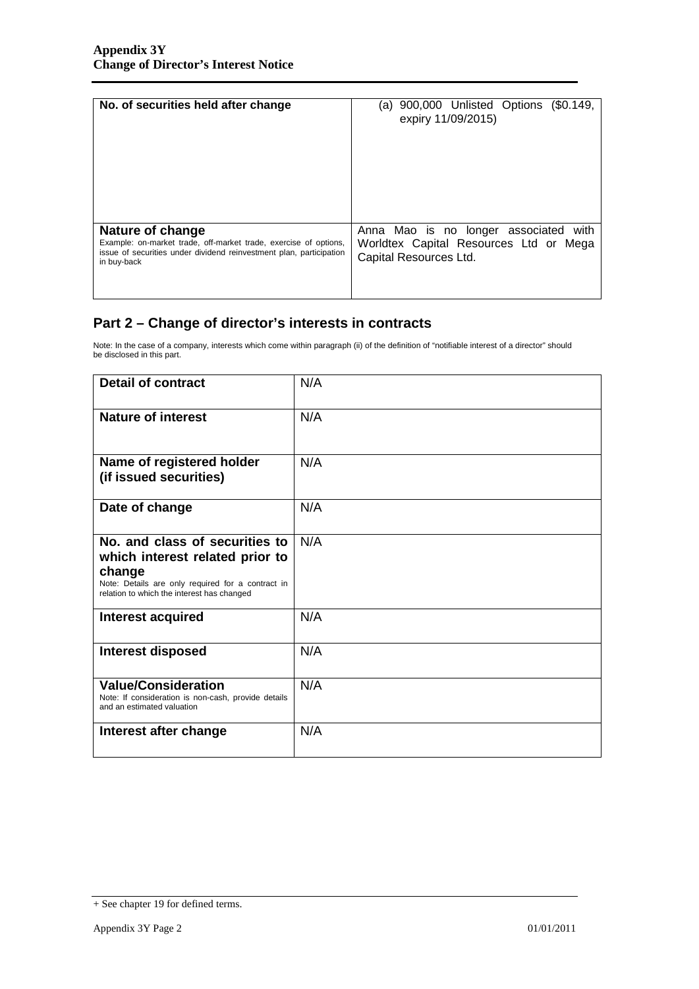| No. of securities held after change                                 | (a) 900,000 Unlisted Options (\$0.149,<br>expiry 11/09/2015) |
|---------------------------------------------------------------------|--------------------------------------------------------------|
| Nature of change                                                    | Anna Mao is no longer associated                             |
| Example: on-market trade, off-market trade, exercise of options,    | with                                                         |
| issue of securities under dividend reinvestment plan, participation | Worldtex Capital Resources Ltd or Mega                       |
| in buy-back                                                         | Capital Resources Ltd.                                       |

## **Part 2 – Change of director's interests in contracts**

Note: In the case of a company, interests which come within paragraph (ii) of the definition of "notifiable interest of a director" should be disclosed in this part.

| <b>Detail of contract</b>                                                                                                                                                      | N/A |
|--------------------------------------------------------------------------------------------------------------------------------------------------------------------------------|-----|
| <b>Nature of interest</b>                                                                                                                                                      | N/A |
| Name of registered holder<br>(if issued securities)                                                                                                                            | N/A |
| Date of change                                                                                                                                                                 | N/A |
| No. and class of securities to<br>which interest related prior to<br>change<br>Note: Details are only required for a contract in<br>relation to which the interest has changed | N/A |
| <b>Interest acquired</b>                                                                                                                                                       | N/A |
| <b>Interest disposed</b>                                                                                                                                                       | N/A |
| <b>Value/Consideration</b><br>Note: If consideration is non-cash, provide details<br>and an estimated valuation                                                                | N/A |
| Interest after change                                                                                                                                                          | N/A |

<sup>+</sup> See chapter 19 for defined terms.